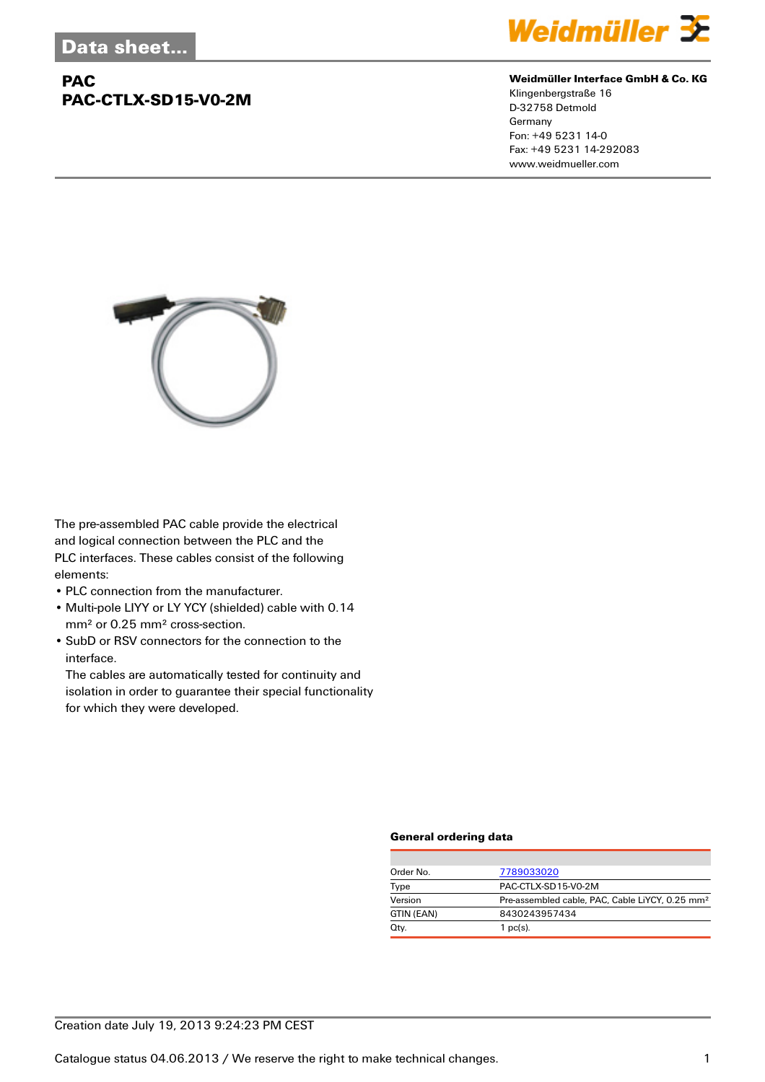## **PAC PAC-CTLX-SD15-V0-2M**



#### **Weidmüller Interface GmbH & Co. KG**

Klingenbergstraße 16 D-32758 Detmold Germany Fon: +49 5231 14-0 Fax: +49 5231 14-292083 www.weidmueller.com



The pre-assembled PAC cable provide the electrical and logical connection between the PLC and the PLC interfaces. These cables consist of the following elements:

- PLC connection from the manufacturer.
- Multi-pole LIYY or LY YCY (shielded) cable with 0.14 mm² or 0.25 mm² cross-section.
- SubD or RSV connectors for the connection to the interface.

The cables are automatically tested for continuity and isolation in order to guarantee their special functionality for which they were developed.

#### **General ordering data**

| Order No.  | 7789033020                                                  |
|------------|-------------------------------------------------------------|
| Type       | PAC-CTLX-SD15-V0-2M                                         |
| Version    | Pre-assembled cable, PAC, Cable LiYCY, 0.25 mm <sup>2</sup> |
| GTIN (EAN) | 8430243957434                                               |
| Qty.       | 1 $pc(s)$ .                                                 |